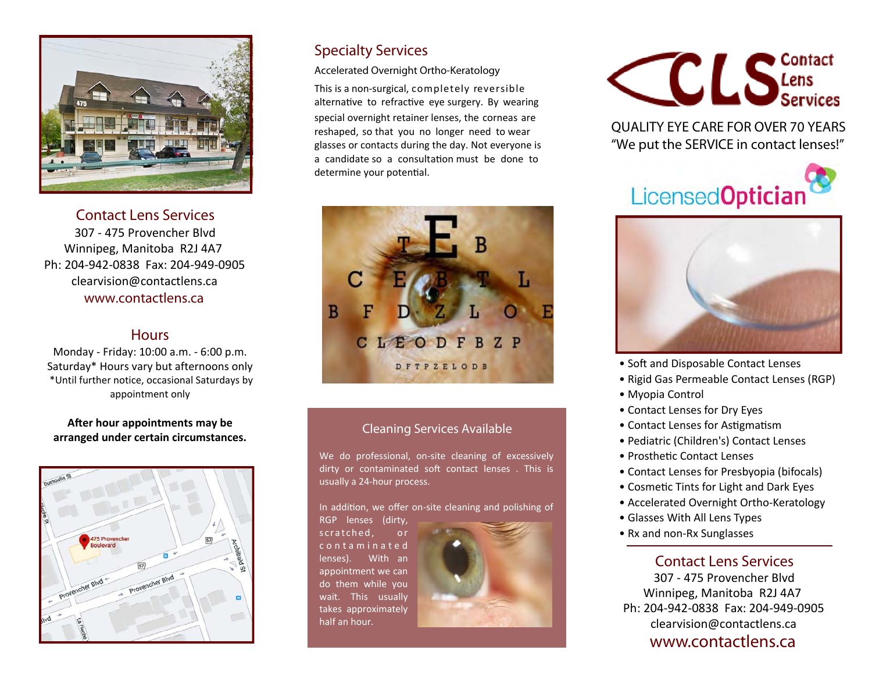

**Contact Lens Services** 307 - 475 Provencher Blvd Winnipeg, Manitoba R2J 4A7 Ph: 204-942-0838 Fax: 204-949-0905 clearvision@contactlens.ca **www.contactlens.ca**

#### **Hours**

Monday - Friday: 10:00 a.m. - 6:00 p.m. Saturday\* Hours vary but afternoons only \*Until further notice, occasional Saturdays by appointment only

#### **After hour appointments may be arranged under certain circumstances.**



### **Specialty Services**

**Accelerated Overnight Ortho-Keratology** 

This is a non-surgical, completely reversible alternative to refractive eye surgery. By wearing special overnight retainer lenses, the corneas are reshaped, so that you no longer need to wear glasses or contacts during the day. Not everyone is a candidate so a consultation must be done to determine your potential.



#### **Cleaning Services Available**

We do professional, on-site cleaning of excessively dirty or contaminated soft contact lenses. This is usually a 24-hour process.

In addition, we offer on-site cleaning and polishing of RGP lenses (dirty,

scratched, or c o n t a m i n a t e d lenses). With an appointment we can do them while you wait. This usually takes approximately half an hour.





**QUALITY EYE CARE FOR OVER 70 YEARS** *"We put the SERVICE in contact lenses!"* 





- Soft and Disposable Contact Lenses
- Rigid Gas Permeable Contact Lenses (RGP)
- Myopia Control
- Contact Lenses for Dry Eyes
- Contact Lenses for Astigmatism
- Pediatric (Children's) Contact Lenses
- Prosthetic Contact Lenses
- Contact Lenses for Presbyopia (bifocals)
- Cosmetic Tints for Light and Dark Eyes
- Accelerated Overnight Ortho-Keratology
- Glasses With All Lens Types
- Rx and non-Rx Sunglasses

#### **Contact Lens Services**

307 - 475 Provencher Blvd Winnipeg, Manitoba R2J 4A7 Ph: 204-942-0838 Fax: 204-949-0905 clearvision@contactlens.ca **www.contactlens.ca**